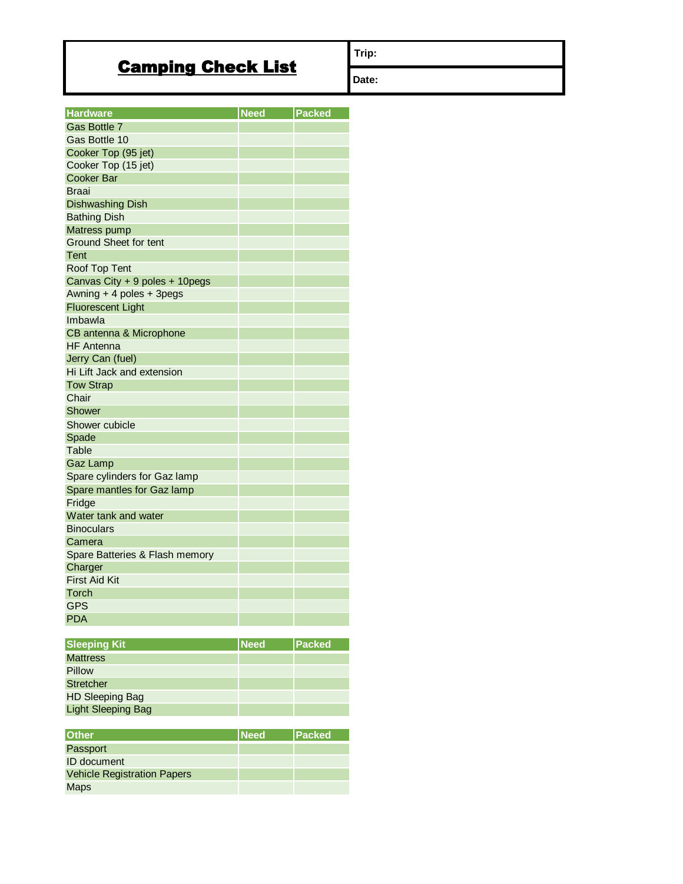## Camping Check List

**Trip:**

**Date:**

| <b>Hardware</b>                | <b>Need</b> | Packed        |
|--------------------------------|-------------|---------------|
| Gas Bottle 7                   |             |               |
| Gas Bottle 10                  |             |               |
| Cooker Top (95 jet)            |             |               |
| Cooker Top (15 jet)            |             |               |
| Cooker Bar                     |             |               |
| <b>Braai</b>                   |             |               |
| <b>Dishwashing Dish</b>        |             |               |
| <b>Bathing Dish</b>            |             |               |
| Matress pump                   |             |               |
| <b>Ground Sheet for tent</b>   |             |               |
| Tent                           |             |               |
| Roof Top Tent                  |             |               |
| Canvas City + 9 poles + 10pegs |             |               |
| Awning + 4 poles + 3pegs       |             |               |
| <b>Fluorescent Light</b>       |             |               |
| Imbawla                        |             |               |
| CB antenna & Microphone        |             |               |
| <b>HF</b> Antenna              |             |               |
| Jerry Can (fuel)               |             |               |
| Hi Lift Jack and extension     |             |               |
| <b>Tow Strap</b>               |             |               |
| Chair                          |             |               |
| <b>Shower</b>                  |             |               |
| Shower cubicle                 |             |               |
| Spade                          |             |               |
| <b>Table</b>                   |             |               |
| <b>Gaz Lamp</b>                |             |               |
| Spare cylinders for Gaz lamp   |             |               |
| Spare mantles for Gaz lamp     |             |               |
| Fridge                         |             |               |
| Water tank and water           |             |               |
| <b>Binoculars</b>              |             |               |
| Camera                         |             |               |
| Spare Batteries & Flash memory |             |               |
| Charger                        |             |               |
| <b>First Aid Kit</b>           |             |               |
| Torch                          |             |               |
| <b>GPS</b>                     |             |               |
| <b>PDA</b>                     |             |               |
|                                |             |               |
| <b>Sleeping Kit</b>            | <b>Need</b> | <b>Packed</b> |
| <b>Mattress</b>                |             |               |
| Pillow                         |             |               |

| <b>PIIIOW</b>      |  |
|--------------------|--|
| Stretcher          |  |
| HD Sleeping Bag    |  |
| Light Sleeping Bag |  |

| <b>Other</b>                       | <b>INeed</b> | <b>Packed</b> |
|------------------------------------|--------------|---------------|
| Passport                           |              |               |
| <b>ID</b> document                 |              |               |
| <b>Vehicle Registration Papers</b> |              |               |
| <b>Maps</b>                        |              |               |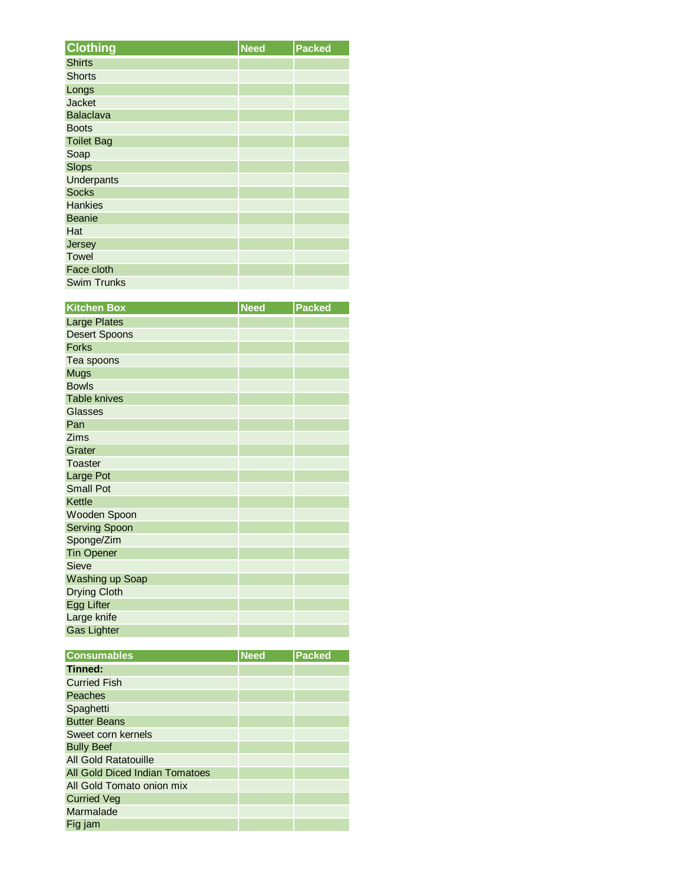| <b>Clothing</b>    | <b>Need</b> | <b>Packed</b> |
|--------------------|-------------|---------------|
| <b>Shirts</b>      |             |               |
| <b>Shorts</b>      |             |               |
| Longs              |             |               |
| <b>Jacket</b>      |             |               |
| <b>Balaclava</b>   |             |               |
| <b>Boots</b>       |             |               |
| <b>Toilet Bag</b>  |             |               |
| Soap               |             |               |
| <b>Slops</b>       |             |               |
| <b>Underpants</b>  |             |               |
| <b>Socks</b>       |             |               |
| <b>Hankies</b>     |             |               |
| <b>Beanie</b>      |             |               |
| Hat                |             |               |
| Jersey             |             |               |
| <b>Towel</b>       |             |               |
| Face cloth         |             |               |
| <b>Swim Trunks</b> |             |               |

| <b>Kitchen Box</b>   | <b>Need</b> | <b>Packed</b> |
|----------------------|-------------|---------------|
| <b>Large Plates</b>  |             |               |
| <b>Desert Spoons</b> |             |               |
| <b>Forks</b>         |             |               |
| Tea spoons           |             |               |
| <b>Mugs</b>          |             |               |
| <b>Bowls</b>         |             |               |
| <b>Table knives</b>  |             |               |
| <b>Glasses</b>       |             |               |
| Pan                  |             |               |
| Zims                 |             |               |
| Grater               |             |               |
| Toaster              |             |               |
| Large Pot            |             |               |
| <b>Small Pot</b>     |             |               |
| Kettle               |             |               |
| Wooden Spoon         |             |               |
| <b>Serving Spoon</b> |             |               |
| Sponge/Zim           |             |               |
| <b>Tin Opener</b>    |             |               |
| Sieve                |             |               |
| Washing up Soap      |             |               |
| <b>Drying Cloth</b>  |             |               |
| <b>Egg Lifter</b>    |             |               |
| Large knife          |             |               |
| <b>Gas Lighter</b>   |             |               |

| <b>Consumables</b>             | <b>Need</b> | <b>Packed</b> |
|--------------------------------|-------------|---------------|
| Tinned:                        |             |               |
| <b>Curried Fish</b>            |             |               |
| Peaches                        |             |               |
| Spaghetti                      |             |               |
| <b>Butter Beans</b>            |             |               |
| Sweet corn kernels             |             |               |
| <b>Bully Beef</b>              |             |               |
| <b>All Gold Ratatouille</b>    |             |               |
| All Gold Diced Indian Tomatoes |             |               |
| All Gold Tomato onion mix      |             |               |
| <b>Curried Veg</b>             |             |               |
| Marmalade                      |             |               |
| Fig jam                        |             |               |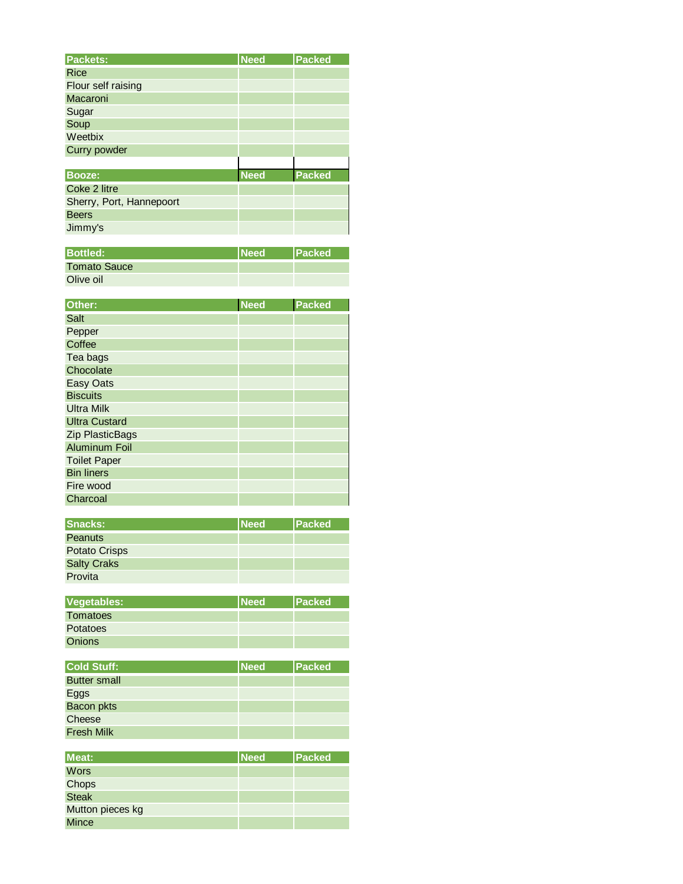| Packets:                 | <b>Need</b> | Packed        |
|--------------------------|-------------|---------------|
| <b>Rice</b>              |             |               |
| Flour self raising       |             |               |
| Macaroni                 |             |               |
| Sugar                    |             |               |
| Soup                     |             |               |
| Weetbix                  |             |               |
| Curry powder             |             |               |
|                          |             |               |
| <b>Booze:</b>            | <b>Need</b> | <b>Packed</b> |
| Coke 2 litre             |             |               |
| Sherry, Port, Hannepoort |             |               |
| <b>Beers</b>             |             |               |
| Jimmy's                  |             |               |
|                          |             |               |

| <b>Bottled:</b>     | <b>INeed</b> | <b>IPacked</b> |
|---------------------|--------------|----------------|
| <b>Tomato Sauce</b> |              |                |
| Olive oil           |              |                |

| Other:                 | <b>Need</b> | <b>Packed</b> |
|------------------------|-------------|---------------|
| Salt                   |             |               |
| Pepper                 |             |               |
| Coffee                 |             |               |
| Tea bags               |             |               |
| Chocolate              |             |               |
| Easy Oats              |             |               |
| <b>Biscuits</b>        |             |               |
| <b>Ultra Milk</b>      |             |               |
| <b>Ultra Custard</b>   |             |               |
| <b>Zip PlasticBags</b> |             |               |
| <b>Aluminum Foil</b>   |             |               |
| <b>Toilet Paper</b>    |             |               |
| <b>Bin liners</b>      |             |               |
| Fire wood              |             |               |
| Charcoal               |             |               |

| Snacks:            | <b>INeed</b> | <b>Packed</b> |
|--------------------|--------------|---------------|
| <b>Peanuts</b>     |              |               |
| Potato Crisps      |              |               |
| <b>Salty Craks</b> |              |               |
| Provita            |              |               |

| <b>Vegetables:</b> | <b>Need</b> | <b>IPacked</b> |
|--------------------|-------------|----------------|
| Tomatoes           |             |                |
| <b>Potatoes</b>    |             |                |
| <b>Onions</b>      |             |                |

| Cold Stuff:         | <b>Need</b> | <b>Packed</b> |
|---------------------|-------------|---------------|
| <b>Butter small</b> |             |               |
| Eggs                |             |               |
| Bacon pkts          |             |               |
| Cheese              |             |               |
| <b>Fresh Milk</b>   |             |               |

| <b>Meat:</b>     | <b>INeed</b> | <b>Packed</b> |
|------------------|--------------|---------------|
| <b>Wors</b>      |              |               |
| Chops            |              |               |
| Steak            |              |               |
| Mutton pieces kg |              |               |
| <b>Mince</b>     |              |               |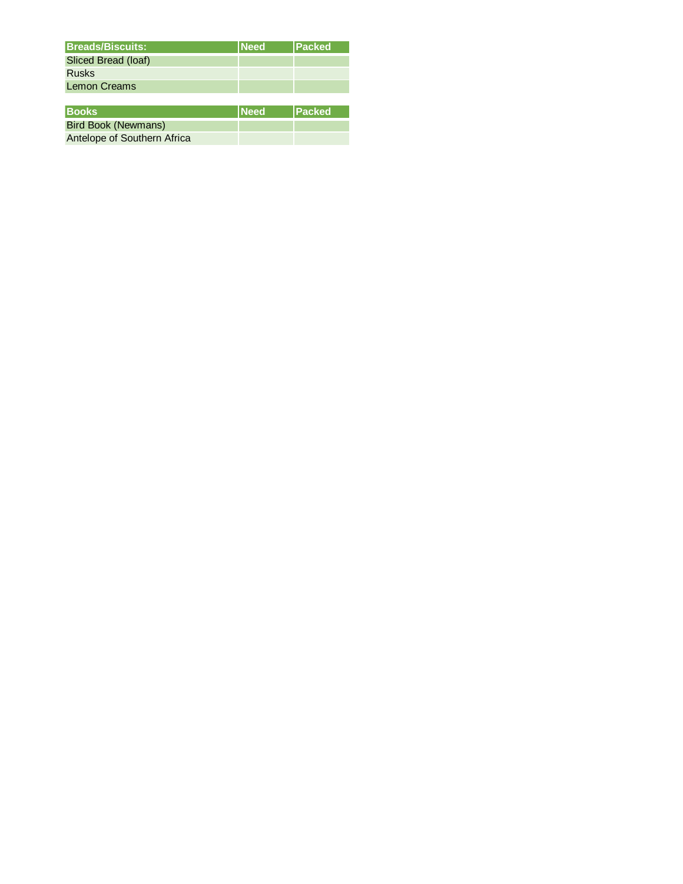| <b>Breads/Biscuits:</b>    | <b>INeed</b> | <b>Packed</b> |
|----------------------------|--------------|---------------|
| Sliced Bread (loaf)        |              |               |
| <b>Rusks</b>               |              |               |
| <b>Lemon Creams</b>        |              |               |
|                            |              |               |
| <b>Books</b>               | <b>Need</b>  | <b>Packed</b> |
| <b>Bird Book (Newmans)</b> |              |               |

Antelope of Southern Africa